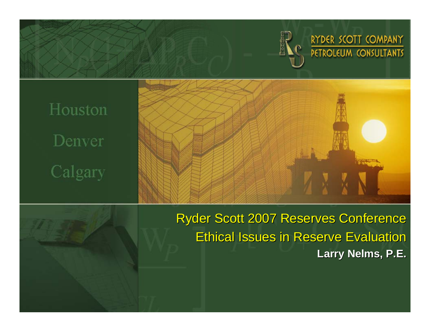

RYDER SCOTT COMPANY PETROLEUM CONSULTANTS

Houston Denver Calgary





**Ryder Scott 2007 Reserves Conference** Ethical Issues in Reserve Evaluation **Larry Nelms, P.E.**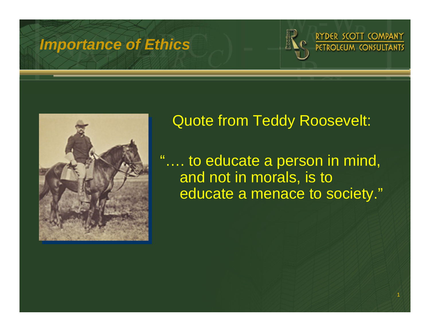



## Quote from Teddy Roosevelt:

"…. to educate a person in mind, and not in morals, is to educate a menace to society."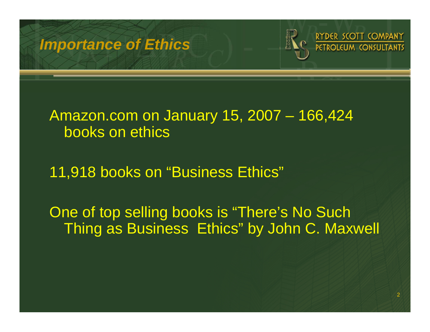

#### Amazon.com on January 15, 2007 – 166,424 books on ethics

11,918 books on "Business Ethics"

One of top selling books is "There's No Such Thing as Business Ethics" by John C. Maxwell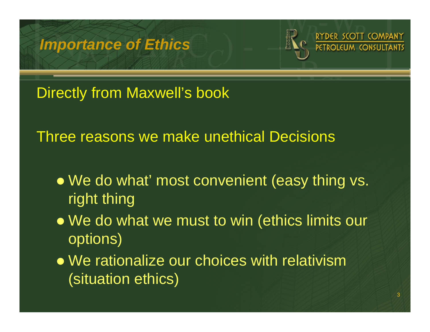

Directly from Maxwell's book

Three reasons we make unethical Decisions

- We do what' most convenient (easy thing vs. right thing
- We do what we must to win (ethics limits our options)
- $\bullet$  We rationalize our choices with relativism (situation ethics)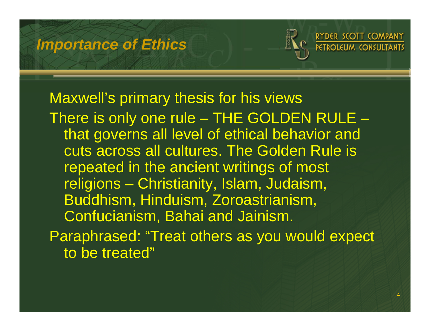

#### Maxwell's primary thesis for his views

There is only one rule – THE GOLDEN RULE – that governs all level of ethical behavior and cuts across all cultures. The Golden Rule is repeated in the ancient writings of most religions – Christianity, Islam, Judaism, Buddhism, Hinduism, Zoroastrianism, Confucianism, Bahai and Jainism. Paraphrased: "Treat others as you would expect to be treated"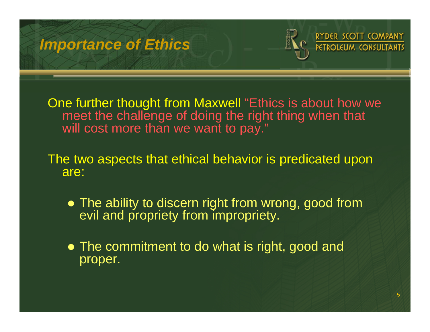

One further thought from Maxwell "Ethics is about how we meet the challenge of doing the right thing when that will cost more than we want to pay."

The two aspects that ethical behavior is predicated upon are:

- The ability to discern right from wrong, good from evil and propriety from impropriety.
- The commitment to do what is right, good and proper.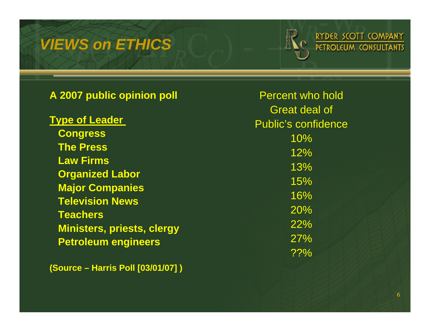#### *VIEWS on ETHICS*



| A 2007 public opinion poll                                                 | <b>Percent who hold</b>                            |
|----------------------------------------------------------------------------|----------------------------------------------------|
| <b>Type of Leader</b>                                                      | <b>Great deal of</b><br><b>Public's confidence</b> |
| <b>Congress</b>                                                            | 10%                                                |
| <b>The Press</b>                                                           | 12%                                                |
| <b>Law Firms</b>                                                           | 13%                                                |
| <b>Organized Labor</b><br><b>Major Companies</b><br><b>Television News</b> | 15%                                                |
|                                                                            | 16%                                                |
| <b>Teachers</b>                                                            | 20%                                                |
| <b>Ministers, priests, clergy</b>                                          | 22%                                                |
| <b>Petroleum engineers</b>                                                 | 27%                                                |
|                                                                            | ??%                                                |

**(Source – Harris Poll [03/01/07] )**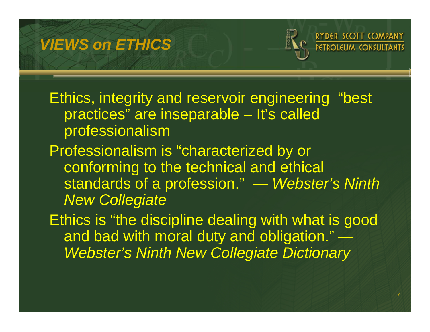### *VIEWS on ETHICS*



Ethics, integrity and reservoir engineering "best practices" are inseparable – It's called professionalism

Professionalism is "characterized by or conforming to the technical and ethical standards of a profession." — *Webster's Ninth New Collegiate* 

Ethics is "the discipline dealing with what is good and bad with moral duty and obligation." *Webster's Ninth New Collegiate Dictionary*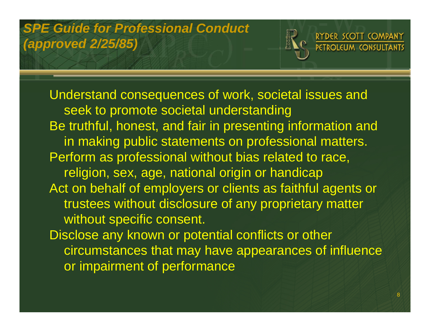## *SPE Guide for Professional Conduct (approved 2/25/85)*



Understand consequences of work, societal issues and seek to promote societal understanding Be truthful, honest, and fair in presenting information and in making public statements on professional matters. Perform as professional without bias related to race, religion, sex, age, national origin or handicap Act on behalf of employers or clients as faithful agents or trustees without disclosure of any proprietary matter without specific consent. Disclose any known or potential conflicts or other circumstances that may have appearances of influence

or impairment of performance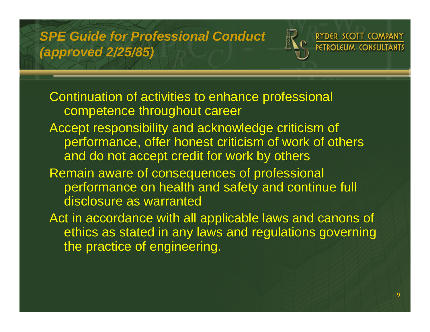#### *SPE Guide for Professional Conduct (approved 2/25/85)*

RYDER SCOTT COMPANY **PETROLEUM CONSULTANTS** 

Continuation of activities to enhance professional competence throughout career Accept responsibility and acknowledge criticism of performance, offer honest criticism of work of others and do not accept credit for work by others Remain aware of consequences of professional performance on health and safety and continue full

- disclosure as warranted
- Act in accordance with all applicable laws and canons of ethics as stated in any laws and regulations governing the practice of engineering.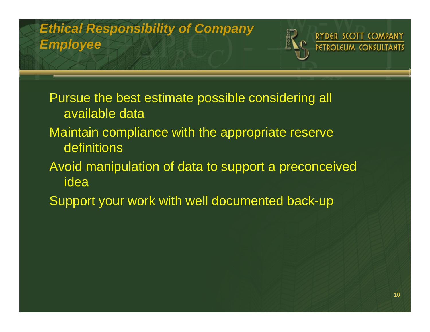

Pursue the best estimate possible considering all available dataMaintain compliance with the appropriate reserve definitionsAvoid manipulation of data to support a preconceived ideaSupport your work with well documented back-up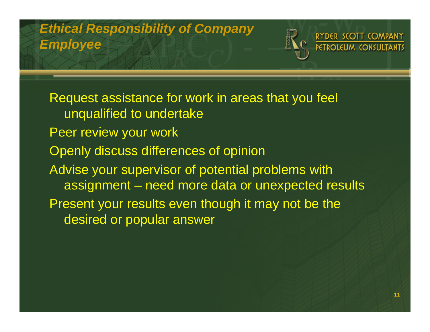

Request assistance for work in areas that you feel unqualified to undertake Peer review your work Openly discuss differences of opinion Advise your supervisor of potential problems with assignment – need more data or unexpected results Present your results even though it may not be the desired or popular answer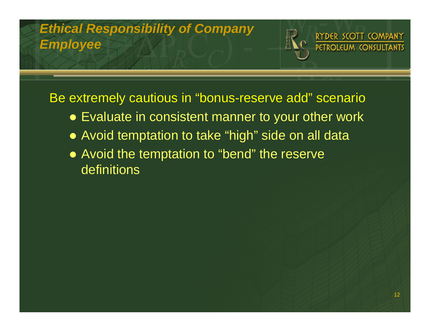

Be extremely cautious in "bonus-reserve add" scenario

- Evaluate in consistent manner to your other work
- Avoid temptation to take "high" side on all data
- Avoid the temptation to "bend" the reserve definitions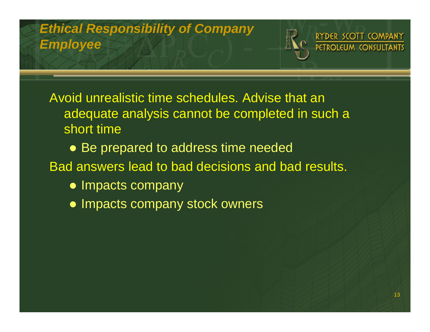

Avoid unrealistic time schedules. Advise that an adequate analysis cannot be completed in such a short time

- Be prepared to address time needed
- Bad answers lead to bad decisions and bad results.
	- Impacts company
	- Impacts company stock owners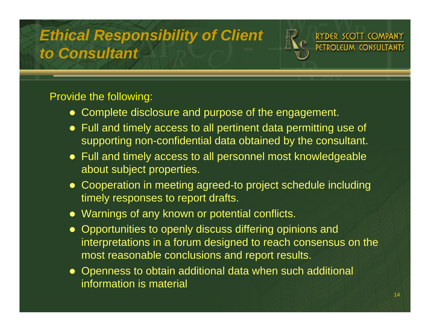# *Ethical Responsibility of Client to Consultant*



#### Provide the following:

- Complete disclosure and purpose of the engagement.
- Full and timely access to all pertinent data permitting use of supporting non-confidential data obtained by the consultant.
- $\bullet\,$  Full and timely access to all personnel most knowledgeable about subject properties.
- Cooperation in meeting agreed-to project schedule including timely responses to report drafts.
- $\bullet\,$  Warnings of any known or potential conflicts.
- Opportunities to openly discuss differing opinions and interpretations in a forum designed to reach consensus on the most reasonable conclusions and report results.
- Openness to obtain additional data when such additional information is material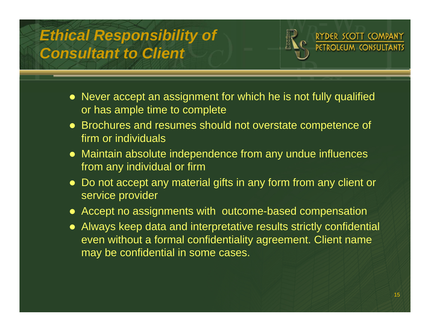# *Ethical Responsibility of Consultant to Client*



- Never accept an assignment for which he is not fully qualified or has ample time to complete
- Brochures and resumes should not overstate competence of firm or individuals
- $\bullet$  Maintain absolute independence from any undue influences from any individual or firm
- $\bullet$  Do not accept any material gifts in any form from any client or service provider
- Accept no assignments with outcome-based compensation
- Always keep data and interpretative results strictly confidential even without a formal confidentiality agreement. Client name may be confidential in some cases.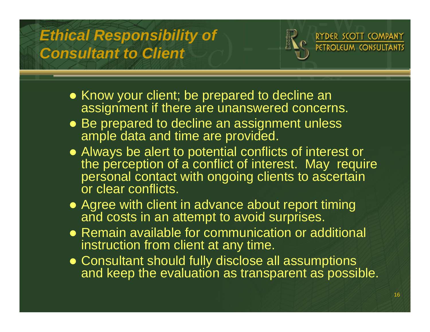# *Ethical Responsibility of Consultant to Client*



- Know your client; be prepared to decline an assignment if there are unanswered concerns.
- Be prepared to decline an assignment unless ample data and time are provided.
- Always be alert to potential conflicts of interest or the perception of a conflict of interest. May require personal contact with ongoing clients to ascertain or clear conflicts.
- Agree with client in advance about report timing and costs in an attempt to avoid surprises.
- Remain available for communication or additional instruction from client at any time.
- Consultant should fully disclose all assumptions and keep the evaluation as transparent as possible.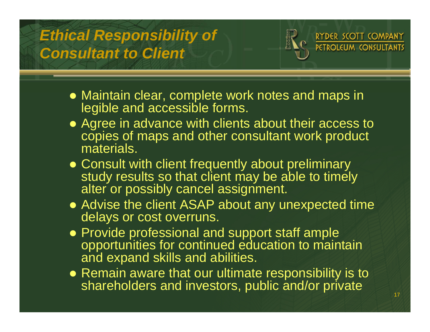# *Ethical Responsibility of Consultant to Client*



- Maintain clear, complete work notes and maps in legible and accessible forms.
- Agree in advance with clients about their access to copies of maps and other consultant work product materials.
- Consult with client frequently about preliminary study results so that client may be able to timely alter or possibly cancel assignment.
- Advise the client ASAP about any unexpected time delays or cost overruns.
- Provide professional and support staff ample opportunities for continued education to maintain and expand skills and abilities.
- $\bullet$  Remain aware that our ultimate responsibility is to shareholders and investors, public and/or private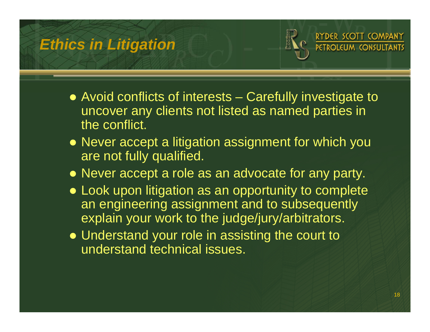## *Ethics in Litigation*



- Avoid conflicts of interests Carefully investigate to uncover any clients not listed as named parties in the conflict.
- Never accept a litigation assignment for which you are not fully qualified.
- Never accept a role as an advocate for any party.
- Look upon litigation as an opportunity to complete an engineering assignment and to subsequently explain your work to the judge/jury/arbitrators.
- Understand your role in assisting the court to understand technical issues.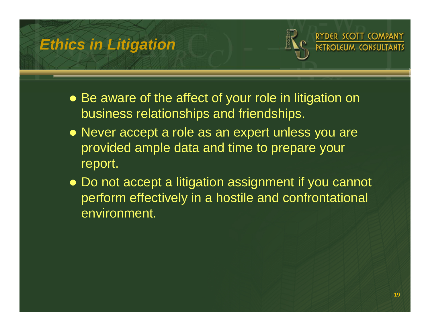### *Ethics in Litigation*



- Be aware of the affect of your role in litigation on business relationships and friendships.
- Never accept a role as an expert unless you are provided ample data and time to prepare your report.
- Do not accept a litigation assignment if you cannot perform effectively in a hostile and confrontational environment.